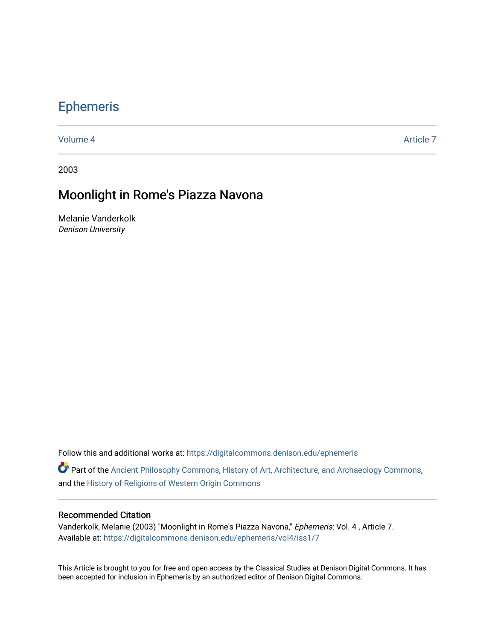# [Ephemeris](https://digitalcommons.denison.edu/ephemeris)

[Volume 4](https://digitalcommons.denison.edu/ephemeris/vol4) Article 7

2003

## Moonlight in Rome's Piazza Navona

Melanie Vanderkolk Denison University

Follow this and additional works at: [https://digitalcommons.denison.edu/ephemeris](https://digitalcommons.denison.edu/ephemeris?utm_source=digitalcommons.denison.edu%2Fephemeris%2Fvol4%2Fiss1%2F7&utm_medium=PDF&utm_campaign=PDFCoverPages) 

Part of the [Ancient Philosophy Commons](http://network.bepress.com/hgg/discipline/448?utm_source=digitalcommons.denison.edu%2Fephemeris%2Fvol4%2Fiss1%2F7&utm_medium=PDF&utm_campaign=PDFCoverPages), [History of Art, Architecture, and Archaeology Commons](http://network.bepress.com/hgg/discipline/510?utm_source=digitalcommons.denison.edu%2Fephemeris%2Fvol4%2Fiss1%2F7&utm_medium=PDF&utm_campaign=PDFCoverPages), and the [History of Religions of Western Origin Commons](http://network.bepress.com/hgg/discipline/542?utm_source=digitalcommons.denison.edu%2Fephemeris%2Fvol4%2Fiss1%2F7&utm_medium=PDF&utm_campaign=PDFCoverPages)

#### Recommended Citation

Vanderkolk, Melanie (2003) "Moonlight in Rome's Piazza Navona," Ephemeris: Vol. 4 , Article 7. Available at: [https://digitalcommons.denison.edu/ephemeris/vol4/iss1/7](https://digitalcommons.denison.edu/ephemeris/vol4/iss1/7?utm_source=digitalcommons.denison.edu%2Fephemeris%2Fvol4%2Fiss1%2F7&utm_medium=PDF&utm_campaign=PDFCoverPages)

This Article is brought to you for free and open access by the Classical Studies at Denison Digital Commons. It has been accepted for inclusion in Ephemeris by an authorized editor of Denison Digital Commons.